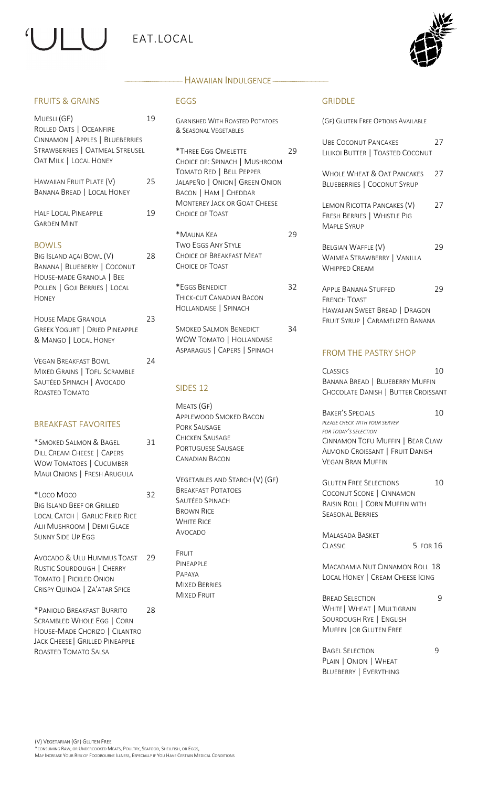# $\vert \vert$ EAT.LOCAL



#### FRUITS & GRAINS

| Muesli (GF)<br>ROLLED OATS   OCEANFIRE<br>CINNAMON   APPLES   BLUEBERRIES<br>STRAWBERRIES   OATMEAL STREUSEL<br><b>OAT MILK   LOCAL HONEY</b>                | 19 |
|--------------------------------------------------------------------------------------------------------------------------------------------------------------|----|
| HAWAIIAN FRUIT PLATE (V)<br><b>BANANA BREAD   LOCAL HONEY</b>                                                                                                | 25 |
| <b>HALF LOCAL PINEAPPLE</b><br><b>GARDEN MINT</b>                                                                                                            | 19 |
| <b>BOWLS</b><br>BIG ISLAND AÇAI BOWL (V)<br><b>BANANA   BLUEBERRY   COCONUT</b><br>HOUSE-MADE GRANOLA   BEE<br>POLLEN   GOJI BERRIES   LOCAL<br><b>HONEY</b> | 28 |
| <b>HOUSE MADE GRANOLA</b><br><b>GREEK YOGURT   DRIED PINEAPPLE</b><br>& MANGO   LOCAL HONEY                                                                  | 23 |
| <b>VEGAN BREAKFAST BOWL</b><br>MIXED GRAINS   TOFU SCRAMBLE<br>SAUTÉED SPINACH   AVOCADO<br>ROASTED TOMATO                                                   | 24 |
| <b>BREAKEAST FAVORITES</b>                                                                                                                                   |    |
| *SMOKED SALMON & BAGEL<br>DILL CREAM CHEESE   CAPERS<br><b>WOW TOMATOES   CUCUMBER</b><br>MAUI ONIONS   FRESH ARUGULA                                        | 31 |
| *Loco Moco<br><b>BIG ISLAND BEEF OR GRILLED</b><br>LOCAL CATCH   GARLIC FRIED RICE<br>ALII MUSHROOM   DEMI GLACE<br><b>SUNNY SIDE UP EGG</b>                 | 32 |
| <b>AVOCADO &amp; ULU HUMMUS TOAST</b><br>RUSTIC SOURDOUGH   CHERRY<br>TOMATO   PICKLED ONION<br>CRISPY QUINOA   ZA'ATAR SPICE                                | 29 |
| *PANIOLO BREAKFAST BURRITO<br><b>SCRAMBLED WHOLE EGG   CORN</b><br>HOUSE-MADE CHORIZO   CILANTRO<br>JACK CHEESE   GRILLED PINEAPPLE<br>ROASTED TOMATO SALSA  | 28 |

#### — Hawaiian Indulgence ———

#### EGGS

GARNISHED WITH ROASTED POTATOES & SEASONAL VEGETABLES

\*THREE EGG OMELETTE 29 CHOICE OF: SPINACH | MUSHROOM TOMATO RED | BELL PEPPER JALAPEÑO | ONION| GREEN ONION BACON | HAM | CHEDDAR MONTEREY JACK OR GOAT CHEESE CHOICE OF TOAST

\*MAUNA KEA 29 TWO EGGS ANY STYLE CHOICE OF BREAKFAST MEAT CHOICE OF TOAST

\*EGGS BENEDICT 32 THICK-CUT CANADIAN BACON HOLLANDAISE | SPINACH

SMOKED SALMON BENEDICT 34 WOW TOMATO | HOLLANDAISE ASPARAGUS | CAPERS | SPINACH

#### SIDES 12

MEATS (GF) APPLEWOOD SMOKED BACON PORK SAUSAGE CHICKEN SAUSAGE PORTUGUESE SAUSAGE CANADIAN BACON

VEGETABLES AND STARCH (V) (GF) BREAKFAST POTATOES SAUTÉED SPINACH BROWN RICE WHITE RICE AVOCADO

FRUIT PINEAPPLE PAPAYA MIXED BERRIES MIXED FRUIT

#### GRIDDLE

| (GF) GLUTEN FREE OPTIONS AVAILABLE                                              |    |
|---------------------------------------------------------------------------------|----|
| URE COCONUT PANCAKES<br>LILIKOI BUTTER   TOASTED COCONUT                        | 27 |
| WHOLE WHEAT & OAT PANCAKES<br><b>BLUEBERRIES   COCONUT SYRUP</b>                | 27 |
| LEMON RICOTTA PANCAKES (V)<br>FRESH BERRIES   WHISTLE PIG<br><b>MAPLE SYRUP</b> | 27 |
| BELGIAN WAFFLE (V)<br>WAIMEA STRAWBERRY   VANILLA<br><b>WHIPPED CREAM</b>       | 29 |
| <b>APPLE BANANA STUFFED</b><br><b>FRENCH TOAST</b>                              | 29 |
| HAWAIIAN SWEET BREAD   DRAGON<br>FRUIT SYRUP   CARAMELIZED BANANA               |    |

#### FROM THE PASTRY SHOP

CLASSICS 10 BANANA BREAD | BLUEBERRY MUFFIN CHOCOLATE DANISH | BUTTER CROISSANT

BAKER'S SPECIALS 10 *PLEASE CHECK WITH YOUR SERVER FOR TODAY'S SELECTION* CINNAMON TOFU MUFFIN | BEAR CLAW ALMOND CROISSANT | FRUIT DANISH VEGAN BRAN MUFFIN

GLUTEN FREE SELECTIONS 10 COCONUT SCONE | CINNAMON RAISIN ROLL | CORN MUFFIN WITH SEASONAL BERRIES

MALASADA BASKET CLASSIC 5 FOR 16

MACADAMIA NUT CINNAMON ROLL 18 LOCAL HONEY | CREAM CHEESE ICING

BREAD SELECTION 9 WHITE | WHEAT | MULTIGRAIN SOURDOUGH RYE | ENGLISH MUFFIN |OR GLUTEN FREE

BAGEL SELECTION 9 PLAIN | ONION | WHEAT BLUEBERRY | EVERYTHING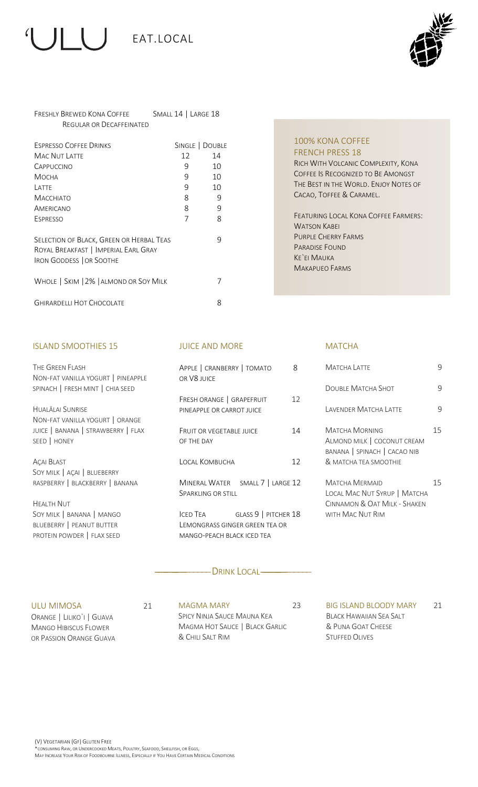



#### FRESHLY BREWED KONA COFFEE SMALL 14 | LARGE 18 REGULAR OR DECAFFEINATED

| <b>ESPRESSO COFFEE DRINKS</b>                                                                                       | SINGLE   DOUBLE |    |
|---------------------------------------------------------------------------------------------------------------------|-----------------|----|
| MAC NUT LATTE                                                                                                       | 12              | 14 |
| CAPPUCCINO                                                                                                          | 9               | 10 |
| Мосна                                                                                                               | 9               | 10 |
| LATTE                                                                                                               | 9               | 10 |
| <b>MACCHIATO</b>                                                                                                    | 8               | 9  |
| AMERICANO                                                                                                           | 8               | 9  |
| ESPRESSO                                                                                                            | 7               | 8  |
| SELECTION OF BLACK, GREEN OR HERBAL TEAS<br>ROYAL BREAKFAST   IMPERIAL EARL GRAY<br><b>IRON GODDESS   OR SOOTHE</b> |                 | 9  |
| WHOLE   SKIM   2%   ALMOND OR SOY MILK                                                                              |                 |    |
| <b>GHIRARDELLI HOT CHOCOLATE</b>                                                                                    |                 | 8  |

#### ISLAND SMOOTHIES 15

THE GREEN FLASH NON-FAT VANILLA YOGURT | PINEAPPLE SPINACH | FRESH MINT | CHIA SEED

HUALĀLAI SUNRISE NON-FAT VANILLA YOGURT | ORANGE JUICE | BANANA | STRAWBERRY | FLAX SEED | HONEY

AÇAI BLAST SOY MILK | AÇAI | BLUEBERRY RASPBERRY | BLACKBERRY | BANANA

HEALTH NUT SOY MILK | BANANA | MANGO BLUEBERRY | PEANUT BUTTER PROTEIN POWDER | FLAX SEED

#### JUICE AND MORE

| APPLE   CRANBERRY   TOMATO<br>OR V8 IUICE              |    |
|--------------------------------------------------------|----|
| FRESH ORANGE   GRAPEFRUIT<br>PINFAPPLE OR CARROT IUICE | 12 |
| <b>FRUIT OR VEGETABLE JUICE</b><br>OF THE DAY          | 14 |
| LOCAL KOMBUCHA                                         | 12 |
| MINERAL WATER SMALL 7   LARGE 12<br>SPARKLING OR STILL |    |

ICED TEA **GLASS 9 | PITCHER 18** LEMONGRASS GINGER GREEN TEA OR MANGO-PEACH BLACK ICED TEA

#### — DRINK LOCAL———

ULU MIMOSA 21 ORANGE | LILIKOˋI | GUAVA MANGO HIBISCUS FLOWER OR PASSION ORANGE GUAVA

MAGMA MARY 23 SPICY NINJA SAUCE MAUNA KEA MAGMA HOT SAUCE | BLACK GARLIC & CHILI SALT RIM

BIG ISLAND BLOODY MARY 21 BLACK HAWAIIAN SEA SALT & PUNA GOAT CHEESE STUFFED OLIVES

#### 100% KONA COFFEE FRENCH PRESS 18 RICH WITH VOLCANIC COMPLEXITY, KONA

COFFEE IS RECOGNIZED TO BE AMONGST THE BEST IN THE WORLD. ENJOY NOTES OF CACAO, TOFFEE & CARAMEL.

FEATURING LOCAL KONA COFFEE FARMERS: WATSON KABEI PURPLE CHERRY FARMS PARADISE FOUND KEˋEI MAUKA MAKAPUEO FARMS

#### **MATCHA**

| Matcha Latte                                                                                              |    |
|-----------------------------------------------------------------------------------------------------------|----|
| DOUBLE MATCHA SHOT                                                                                        |    |
| I avender Matcha I atte                                                                                   |    |
| Matcha Morning<br>ALMOND MILK   COCONUT CREAM<br>BANANA SPINACH CACAO NIB<br>& MATCHA TFA SMOOTHIF        | 15 |
| <b>MATCHA MERMAID</b><br>Local Mac Nut Syrup   Matcha<br>CINNAMON & OAT MILK - SHAKEN<br>with Mac Nut Rim | 15 |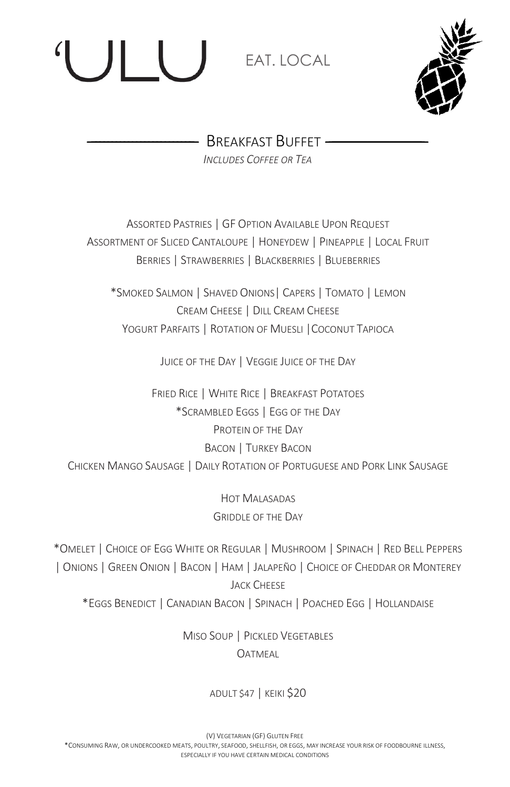# **EAT. LOCAL**



— BREAKFAST BUFFET — *INCLUDES COFFEE OR TEA*

ASSORTED PASTRIES | GF OPTION AVAILABLE UPON REQUEST ASSORTMENT OF SLICED CANTALOUPE | HONEYDEW | PINEAPPLE | LOCAL FRUIT BERRIES | STRAWBERRIES | BLACKBERRIES | BLUEBERRIES

\*SMOKED SALMON | SHAVED ONIONS| CAPERS | TOMATO | LEMON CREAM CHEESE | DILL CREAM CHEESE YOGURT PARFAITS | ROTATION OF MUESLI |COCONUT TAPIOCA

JUICE OF THE DAY | VEGGIE JUICE OF THE DAY

FRIED RICE | WHITE RICE | BREAKFAST POTATOES \*SCRAMBLED EGGS | EGG OF THE DAY PROTEIN OF THE DAY BACON | TURKEY BACON CHICKEN MANGO SAUSAGE | DAILY ROTATION OF PORTUGUESE AND PORK LINK SAUSAGE

> HOT MALASADAS GRIDDLE OF THE DAY

\*OMELET | CHOICE OF EGG WHITE OR REGULAR | MUSHROOM | SPINACH | RED BELL PEPPERS | ONIONS | GREEN ONION | BACON | HAM | JALAPEÑO | CHOICE OF CHEDDAR OR MONTEREY **JACK CHEESE** \*EGGS BENEDICT | CANADIAN BACON | SPINACH | POACHED EGG | HOLLANDAISE

> MISO SOUP | PICKLED VEGETABLES **OATMEAL**

> > ADULT \$47 | KEIKI \$20